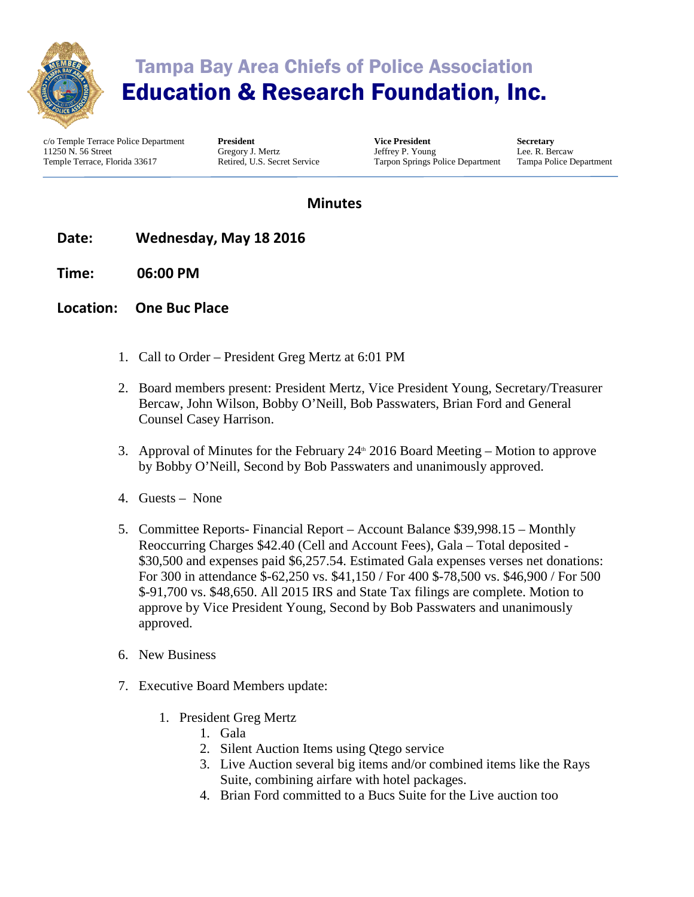

## Tampa Bay Area Chiefs of Police Association Education & Research Foundation, Inc.

c/o Temple Terrace Police Department 11250 N. 56 Street Temple Terrace, Florida 33617

**President** Gregory J. Mertz Retired, U.S. Secret Service

**Vice President** Jeffrey P. Young Tarpon Springs Police Department

**Secretary** Lee. R. Bercaw Tampa Police Department

## **Minutes**

- **Date: Wednesday, May 18 2016**
- **Time: 06:00 PM**
- **Location: One Buc Place**
	- 1. Call to Order President Greg Mertz at 6:01 PM
	- 2. Board members present: President Mertz, Vice President Young, Secretary/Treasurer Bercaw, John Wilson, Bobby O'Neill, Bob Passwaters, Brian Ford and General Counsel Casey Harrison.
	- 3. Approval of Minutes for the February  $24^{\text{th}}$  2016 Board Meeting Motion to approve by Bobby O'Neill, Second by Bob Passwaters and unanimously approved.
	- 4. Guests None
	- 5. Committee Reports- Financial Report Account Balance \$39,998.15 Monthly Reoccurring Charges \$42.40 (Cell and Account Fees), Gala – Total deposited - \$30,500 and expenses paid \$6,257.54. Estimated Gala expenses verses net donations: For 300 in attendance \$-62,250 vs. \$41,150 / For 400 \$-78,500 vs. \$46,900 / For 500 \$-91,700 vs. \$48,650. All 2015 IRS and State Tax filings are complete. Motion to approve by Vice President Young, Second by Bob Passwaters and unanimously approved.
	- 6. New Business
	- 7. Executive Board Members update:
		- 1. President Greg Mertz
			- 1. Gala
			- 2. Silent Auction Items using Qtego service
			- 3. Live Auction several big items and/or combined items like the Rays Suite, combining airfare with hotel packages.
			- 4. Brian Ford committed to a Bucs Suite for the Live auction too